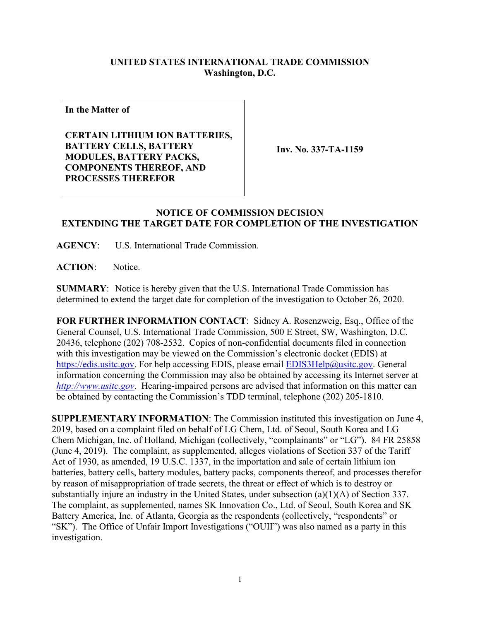## **UNITED STATES INTERNATIONAL TRADE COMMISSION Washington, D.C.**

**In the Matter of**

**CERTAIN LITHIUM ION BATTERIES, BATTERY CELLS, BATTERY MODULES, BATTERY PACKS, COMPONENTS THEREOF, AND PROCESSES THEREFOR**

**Inv. No. 337-TA-1159**

## **NOTICE OF COMMISSION DECISION EXTENDING THE TARGET DATE FOR COMPLETION OF THE INVESTIGATION**

**AGENCY**: U.S. International Trade Commission.

**ACTION**: Notice.

**SUMMARY**: Notice is hereby given that the U.S. International Trade Commission has determined to extend the target date for completion of the investigation to October 26, 2020.

**FOR FURTHER INFORMATION CONTACT**: Sidney A. Rosenzweig, Esq., Office of the General Counsel, U.S. International Trade Commission, 500 E Street, SW, Washington, D.C. 20436, telephone (202) 708-2532. Copies of non-confidential documents filed in connection with this investigation may be viewed on the Commission's electronic docket (EDIS) at [https://edis.usitc.gov.](https://edis.usitc.gov/) For help accessing EDIS, please email [EDIS3Help@usitc.gov.](mailto:EDIS3Help@usitc.gov) General information concerning the Commission may also be obtained by accessing its Internet server at *[http://www.usitc.gov](http://www.usitc.gov/)*. Hearing-impaired persons are advised that information on this matter can be obtained by contacting the Commission's TDD terminal, telephone (202) 205-1810.

**SUPPLEMENTARY INFORMATION**: The Commission instituted this investigation on June 4, 2019, based on a complaint filed on behalf of LG Chem, Ltd. of Seoul, South Korea and LG Chem Michigan, Inc. of Holland, Michigan (collectively, "complainants" or "LG"). 84 FR 25858 (June 4, 2019). The complaint, as supplemented, alleges violations of Section 337 of the Tariff Act of 1930, as amended, 19 U.S.C. 1337, in the importation and sale of certain lithium ion batteries, battery cells, battery modules, battery packs, components thereof, and processes therefor by reason of misappropriation of trade secrets, the threat or effect of which is to destroy or substantially injure an industry in the United States, under subsection (a)(1)(A) of Section 337. The complaint, as supplemented, names SK Innovation Co., Ltd. of Seoul, South Korea and SK Battery America, Inc. of Atlanta, Georgia as the respondents (collectively, "respondents" or "SK"). The Office of Unfair Import Investigations ("OUII") was also named as a party in this investigation.